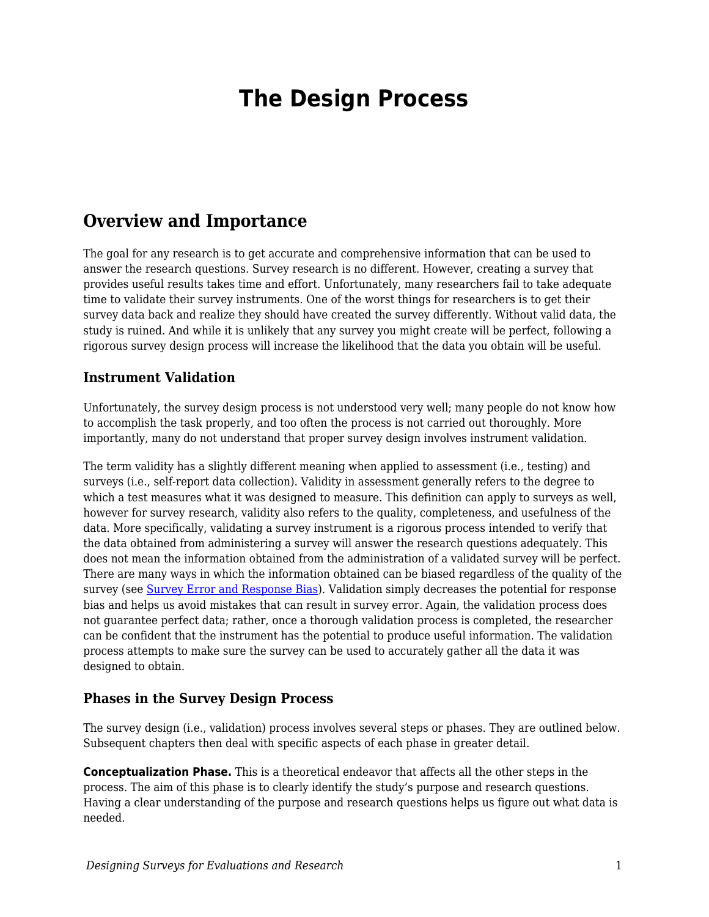# **The Design Process**

### **Overview and Importance**

The goal for any research is to get accurate and comprehensive information that can be used to answer the research questions. Survey research is no different. However, creating a survey that provides useful results takes time and effort. Unfortunately, many researchers fail to take adequate time to validate their survey instruments. One of the worst things for researchers is to get their survey data back and realize they should have created the survey differently. Without valid data, the study is ruined. And while it is unlikely that any survey you might create will be perfect, following a rigorous survey design process will increase the likelihood that the data you obtain will be useful.

#### **Instrument Validation**

Unfortunately, the survey design process is not understood very well; many people do not know how to accomplish the task properly, and too often the process is not carried out thoroughly. More importantly, many do not understand that proper survey design involves instrument validation.

The term validity has a slightly different meaning when applied to assessment (i.e., testing) and surveys (i.e., self-report data collection). Validity in assessment generally refers to the degree to which a test measures what it was designed to measure. This definition can apply to surveys as well, however for survey research, validity also refers to the quality, completeness, and usefulness of the data. More specifically, validating a survey instrument is a rigorous process intended to verify that the data obtained from administering a survey will answer the research questions adequately. This does not mean the information obtained from the administration of a validated survey will be perfect. There are many ways in which the information obtained can be biased regardless of the quality of the survey (see [Survey Error and Response Bias\)](https://edtechbooks.org/designing_surveys/validity_threats). Validation simply decreases the potential for response bias and helps us avoid mistakes that can result in survey error. Again, the validation process does not guarantee perfect data; rather, once a thorough validation process is completed, the researcher can be confident that the instrument has the potential to produce useful information. The validation process attempts to make sure the survey can be used to accurately gather all the data it was designed to obtain.

#### **Phases in the Survey Design Process**

The survey design (i.e., validation) process involves several steps or phases. They are outlined below. Subsequent chapters then deal with specific aspects of each phase in greater detail.

**Conceptualization Phase.** This is a theoretical endeavor that affects all the other steps in the process. The aim of this phase is to clearly identify the study's purpose and research questions. Having a clear understanding of the purpose and research questions helps us figure out what data is needed.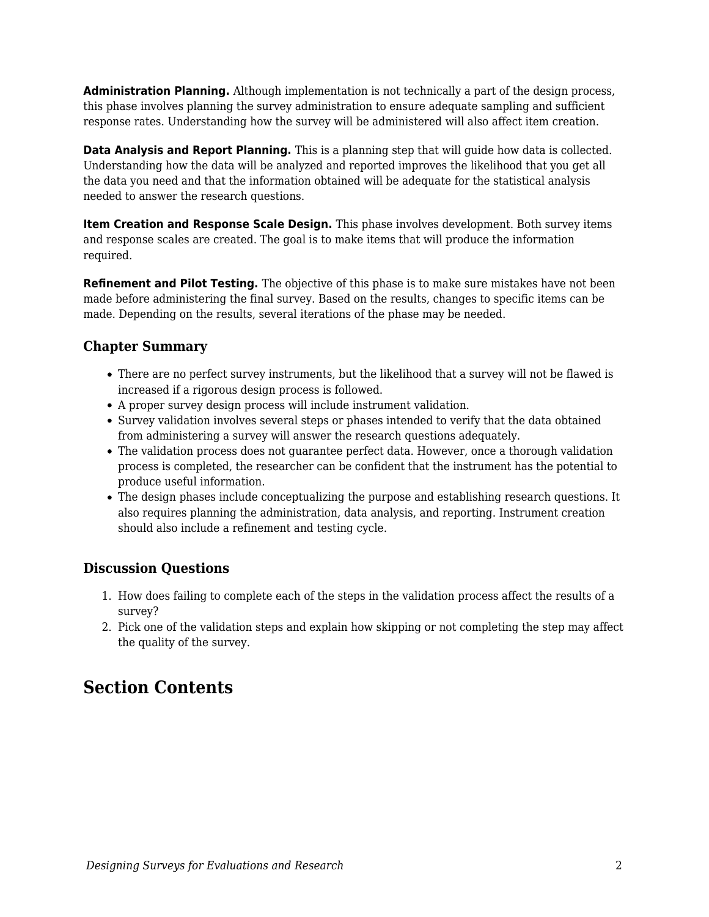**Administration Planning.** Although implementation is not technically a part of the design process, this phase involves planning the survey administration to ensure adequate sampling and sufficient response rates. Understanding how the survey will be administered will also affect item creation.

**Data Analysis and Report Planning.** This is a planning step that will guide how data is collected. Understanding how the data will be analyzed and reported improves the likelihood that you get all the data you need and that the information obtained will be adequate for the statistical analysis needed to answer the research questions.

**Item Creation and Response Scale Design.** This phase involves development. Both survey items and response scales are created. The goal is to make items that will produce the information required.

**Refinement and Pilot Testing.** The objective of this phase is to make sure mistakes have not been made before administering the final survey. Based on the results, changes to specific items can be made. Depending on the results, several iterations of the phase may be needed.

#### **Chapter Summary**

- There are no perfect survey instruments, but the likelihood that a survey will not be flawed is increased if a rigorous design process is followed.
- A proper survey design process will include instrument validation.
- Survey validation involves several steps or phases intended to verify that the data obtained from administering a survey will answer the research questions adequately.
- The validation process does not guarantee perfect data. However, once a thorough validation process is completed, the researcher can be confident that the instrument has the potential to produce useful information.
- The design phases include conceptualizing the purpose and establishing research questions. It also requires planning the administration, data analysis, and reporting. Instrument creation should also include a refinement and testing cycle.

### **Discussion Questions**

- 1. How does failing to complete each of the steps in the validation process affect the results of a survey?
- 2. Pick one of the validation steps and explain how skipping or not completing the step may affect the quality of the survey.

## **Section Contents**